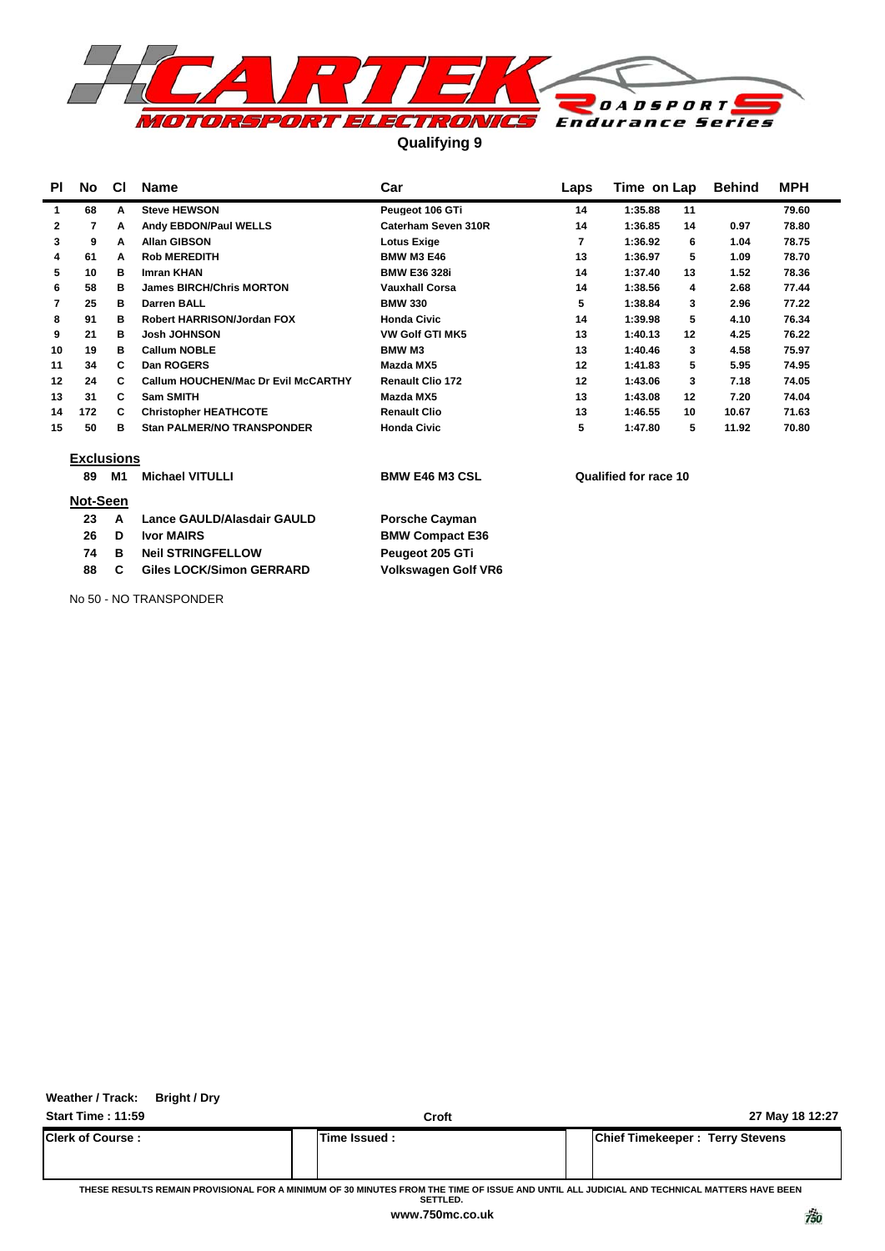

**Qualifying 9**

| PI | No.               | <b>CI</b> | <b>Name</b>                                | Car                        | Laps | Time on Lap           | <b>Behind</b> | <b>MPH</b> |
|----|-------------------|-----------|--------------------------------------------|----------------------------|------|-----------------------|---------------|------------|
| 1  | 68                | A         | <b>Steve HEWSON</b>                        | Peugeot 106 GTi            | 14   | 1:35.88<br>11         |               | 79.60      |
| 2  | 7                 | A         | Andy EBDON/Paul WELLS                      | Caterham Seven 310R        | 14   | 1:36.85<br>14         | 0.97          | 78.80      |
| 3  | 9                 | A         | <b>Allan GIBSON</b>                        | <b>Lotus Exige</b>         | 7    | 1:36.92<br>6          | 1.04          | 78.75      |
| 4  | 61                | А         | <b>Rob MEREDITH</b>                        | <b>BMW M3 E46</b>          | 13   | 1:36.97<br>5          | 1.09          | 78.70      |
| 5  | 10                | в         | <b>Imran KHAN</b>                          | <b>BMW E36 328i</b>        | 14   | 1:37.40<br>13         | 1.52          | 78.36      |
| 6  | 58                | в         | <b>James BIRCH/Chris MORTON</b>            | <b>Vauxhall Corsa</b>      | 14   | 1:38.56<br>4          | 2.68          | 77.44      |
| 7  | 25                | в         | <b>Darren BALL</b>                         | <b>BMW 330</b>             | 5    | 1:38.84<br>3          | 2.96          | 77.22      |
| 8  | 91                | в         | Robert HARRISON/Jordan FOX                 | <b>Honda Civic</b>         | 14   | 1:39.98<br>5          | 4.10          | 76.34      |
| 9  | 21                | в         | <b>Josh JOHNSON</b>                        | <b>VW Golf GTI MK5</b>     | 13   | 1:40.13<br>12         | 4.25          | 76.22      |
| 10 | 19                | в         | <b>Callum NOBLE</b>                        | <b>BMW M3</b>              | 13   | 1:40.46<br>3          | 4.58          | 75.97      |
| 11 | 34                | C         | Dan ROGERS                                 | Mazda MX5                  | 12   | 1:41.83<br>5          | 5.95          | 74.95      |
| 12 | 24                | C         | <b>Callum HOUCHEN/Mac Dr Evil McCARTHY</b> | <b>Renault Clio 172</b>    | 12   | 1:43.06<br>3          | 7.18          | 74.05      |
| 13 | 31                | C         | Sam SMITH                                  | Mazda MX5                  | 13   | 1:43.08<br>12         | 7.20          | 74.04      |
| 14 | 172               | C         | <b>Christopher HEATHCOTE</b>               | <b>Renault Clio</b>        | 13   | 1:46.55<br>10         | 10.67         | 71.63      |
| 15 | 50                | в         | <b>Stan PALMER/NO TRANSPONDER</b>          | <b>Honda Civic</b>         | 5    | 1:47.80<br>5          | 11.92         | 70.80      |
|    | <b>Exclusions</b> |           |                                            |                            |      |                       |               |            |
|    | 89                | M1        | <b>Michael VITULLI</b>                     | <b>BMW E46 M3 CSL</b>      |      | Qualified for race 10 |               |            |
|    | Not-Seen          |           |                                            |                            |      |                       |               |            |
|    | 23                | A         | Lance GAULD/Alasdair GAULD                 | <b>Porsche Cayman</b>      |      |                       |               |            |
|    | 26                | D         | <b>Ivor MAIRS</b>                          | <b>BMW Compact E36</b>     |      |                       |               |            |
|    | 74                | в         | <b>Neil STRINGFELLOW</b>                   | Peugeot 205 GTi            |      |                       |               |            |
|    | 88                | C         | <b>Giles LOCK/Simon GERRARD</b>            | <b>Volkswagen Golf VR6</b> |      |                       |               |            |
|    |                   |           | No 50 - NO TRANSPONDER                     |                            |      |                       |               |            |

**Weather / Track: Bright / Dry**

**Start Time : 11:59 Croft 27 May 18 12:27 Clerk of Course : Time Issued : Chief Timekeeper : Terry Stevens**

**THESE RESULTS REMAIN PROVISIONAL FOR A MINIMUM OF 30 MINUTES FROM THE TIME OF ISSUE AND UNTIL ALL JUDICIAL AND TECHNICAL MATTERS HAVE BEEN SETTLED.**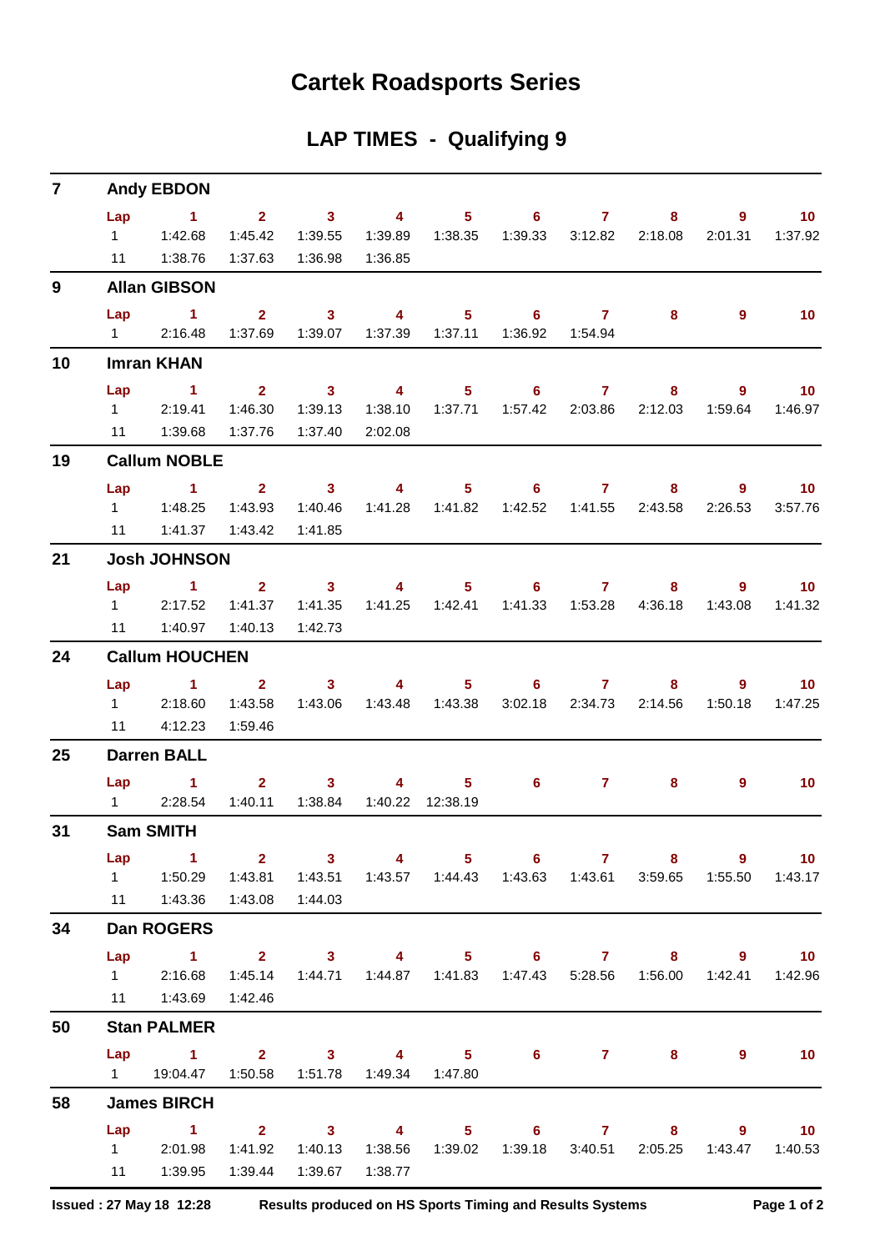## **Cartek Roadsports Series**

| LAP TIMES - Qualifying 9 |  |  |
|--------------------------|--|--|
|--------------------------|--|--|

| $\overline{7}$ |     | <b>Andy EBDON</b>                                                                                     |                                                 |                                     |                     |                                                                                 |                            |                |                         |             |                   |
|----------------|-----|-------------------------------------------------------------------------------------------------------|-------------------------------------------------|-------------------------------------|---------------------|---------------------------------------------------------------------------------|----------------------------|----------------|-------------------------|-------------|-------------------|
|                | Lap | $\sim$ $\sim$ 1.                                                                                      |                                                 | $2 \t 3 \t 4$                       |                     | $5 \t\t 6 \t\t 7$                                                               |                            |                | 8                       | 9           | 10                |
|                |     | $1 \quad 1:42.68$                                                                                     | 1:45.42                                         | 1:39.55                             | 1:39.89             | 1:38.35                                                                         |                            |                |                         | 2:01.31     | 1:37.92           |
|                |     | 11  1:38.76                                                                                           |                                                 | 1:37.63  1:36.98                    | 1:36.85             |                                                                                 |                            |                |                         |             |                   |
| 9              |     | <b>Allan GIBSON</b>                                                                                   |                                                 |                                     |                     |                                                                                 |                            |                |                         |             |                   |
|                | Lap | $\sim$ 1                                                                                              | $2^{\circ}$                                     | $\sim$ 3                            | $\sim$ 4            | 5 <sub>5</sub>                                                                  | $\overline{\phantom{a}}$ 6 | $\overline{7}$ | 8                       | 9           | 10 <sup>°</sup>   |
|                |     | 1 2:16.48                                                                                             |                                                 |                                     |                     | 1:37.69  1:39.07  1:37.39  1:37.11  1:36.92  1:54.94                            |                            |                |                         |             |                   |
| 10             |     | <b>Imran KHAN</b>                                                                                     |                                                 |                                     |                     |                                                                                 |                            |                |                         |             |                   |
|                | Lap | $\sim$ 1                                                                                              | $\overline{\mathbf{2}}$                         |                                     |                     | 3 4 5 6 7                                                                       |                            |                | 8                       | $9^{\circ}$ | 10                |
|                |     | 1 2:19.41                                                                                             | 1:46.30                                         | 1:39.13                             |                     | 1:38.10  1:37.71  1:57.42  2:03.86  2:12.03  1:59.64                            |                            |                |                         |             | 1:46.97           |
|                |     | 11  1:39.68                                                                                           | 1:37.76                                         | 1:37.40                             | 2:02.08             |                                                                                 |                            |                |                         |             |                   |
| 19             |     | <b>Callum NOBLE</b>                                                                                   |                                                 |                                     |                     |                                                                                 |                            |                |                         |             |                   |
|                |     | Lap 1 2 3 4                                                                                           |                                                 |                                     |                     |                                                                                 | $5 \t\t 6 \t\t 7$          |                | $8 -$                   |             | $9 \t 10$         |
|                |     |                                                                                                       | 1:43.93                                         | 1:40.46                             |                     | 1:41.28  1:41.82  1:42.52  1:41.55  2:43.58                                     |                            |                |                         | 2:26.53     | 3:57.76           |
|                | 11  |                                                                                                       |                                                 | 1:41.85                             |                     |                                                                                 |                            |                |                         |             |                   |
| 21             |     | <b>Josh JOHNSON</b>                                                                                   |                                                 |                                     |                     |                                                                                 |                            |                |                         |             |                   |
|                | Lap | $1 \qquad 2 \qquad 3 \qquad 4 \qquad 5 \qquad 6 \qquad 7$                                             |                                                 |                                     |                     |                                                                                 |                            |                | $8 -$                   | $9^{\circ}$ | $\blacksquare$ 10 |
|                |     | 12:17.52                                                                                              | 1:41.37                                         | 1:41.35                             |                     | 1:41.25  1:42.41  1:41.33  1:53.28  4:36.18  1:43.08                            |                            |                |                         |             | 1:41.32           |
|                | 11  | 1:40.97                                                                                               | 1:40.13                                         | 1:42.73                             |                     |                                                                                 |                            |                |                         |             |                   |
| 24             |     | <b>Callum HOUCHEN</b>                                                                                 |                                                 |                                     |                     |                                                                                 |                            |                |                         |             |                   |
|                |     | Lap $1$ 2                                                                                             |                                                 | $\overline{\mathbf{3}}$             | $\sim$ 4 and $\sim$ |                                                                                 | $5 \t\t 6$                 | $\mathbf{7}$   | 8                       | 9           | $-10$             |
|                |     | 12:18.60                                                                                              | 1:43.58                                         | 1:43.06                             |                     |                                                                                 |                            |                | 3:02.18 2:34.73 2:14.56 | 1:50.18     | 1:47.25           |
|                |     | 11 4:12.23                                                                                            | 1:59.46                                         |                                     |                     |                                                                                 |                            |                |                         |             |                   |
| 25             |     | <b>Darren BALL</b>                                                                                    |                                                 |                                     |                     |                                                                                 |                            |                |                         |             |                   |
|                |     | $Lap$ 1                                                                                               |                                                 | $2 \t 3$                            | 4                   | 5 <sub>5</sub>                                                                  | $\overline{\phantom{a}}$ 6 | $7 -$          | 8                       | 9           | 10                |
|                |     | 12:28.54                                                                                              |                                                 | 1:40.11  1:38.84  1:40.22  12:38.19 |                     |                                                                                 |                            |                |                         |             |                   |
| 31             |     | <b>Sam SMITH</b>                                                                                      |                                                 |                                     |                     |                                                                                 |                            |                |                         |             |                   |
|                | Lap | $\sim$ $\sim$ 1                                                                                       | $\overline{\mathbf{2}}$ $\overline{\mathbf{3}}$ |                                     |                     | 4 5 6 7 8 9 10                                                                  |                            |                |                         |             |                   |
|                |     | 1   1:50.29   1:43.81   1:43.51   1:43.57   1:44.43   1:43.63   1:43.61   3:59.65   1:55.50   1:43.17 |                                                 |                                     |                     |                                                                                 |                            |                |                         |             |                   |
|                |     | 11  1:43.36  1:43.08  1:44.03                                                                         |                                                 |                                     |                     |                                                                                 |                            |                |                         |             |                   |
| 34             |     | <b>Dan ROGERS</b>                                                                                     |                                                 |                                     |                     |                                                                                 |                            |                |                         |             |                   |
|                | Lap | 1 2 3 4 5 6 7 8 9 10                                                                                  |                                                 |                                     |                     |                                                                                 |                            |                |                         |             |                   |
|                |     | 1 2:16.68                                                                                             |                                                 |                                     |                     | 1:45.14  1:44.71  1:44.87  1:41.83  1:47.43  5:28.56  1:56.00  1:42.41  1:42.96 |                            |                |                         |             |                   |
|                |     | 11  1:43.69  1:42.46                                                                                  |                                                 |                                     |                     |                                                                                 |                            |                |                         |             |                   |
| 50             |     | <b>Stan PALMER</b>                                                                                    |                                                 |                                     |                     |                                                                                 |                            |                |                         |             |                   |
|                |     | Lap 1 2 3 4 5 6 7 8                                                                                   |                                                 |                                     |                     |                                                                                 |                            |                |                         | 9           | $-10$             |
|                |     | 1   19:04.47   1:50.58   1:51.78   1:49.34   1:47.80                                                  |                                                 |                                     |                     |                                                                                 |                            |                |                         |             |                   |
| 58             |     | <b>James BIRCH</b>                                                                                    |                                                 |                                     |                     |                                                                                 |                            |                |                         |             |                   |
|                | Lap | 1 2 3 4 5 6 7 8 9 10                                                                                  |                                                 |                                     |                     |                                                                                 |                            |                |                         |             |                   |
|                |     | 1 2:01.98 1:41.92 1:40.13                                                                             |                                                 |                                     |                     | 1:38.56  1:39.02  1:39.18  3:40.51  2:05.25  1:43.47  1:40.53                   |                            |                |                         |             |                   |
|                |     | 11   1:39.95                                                                                          |                                                 | 1:39.44  1:39.67                    | 1:38.77             |                                                                                 |                            |                |                         |             |                   |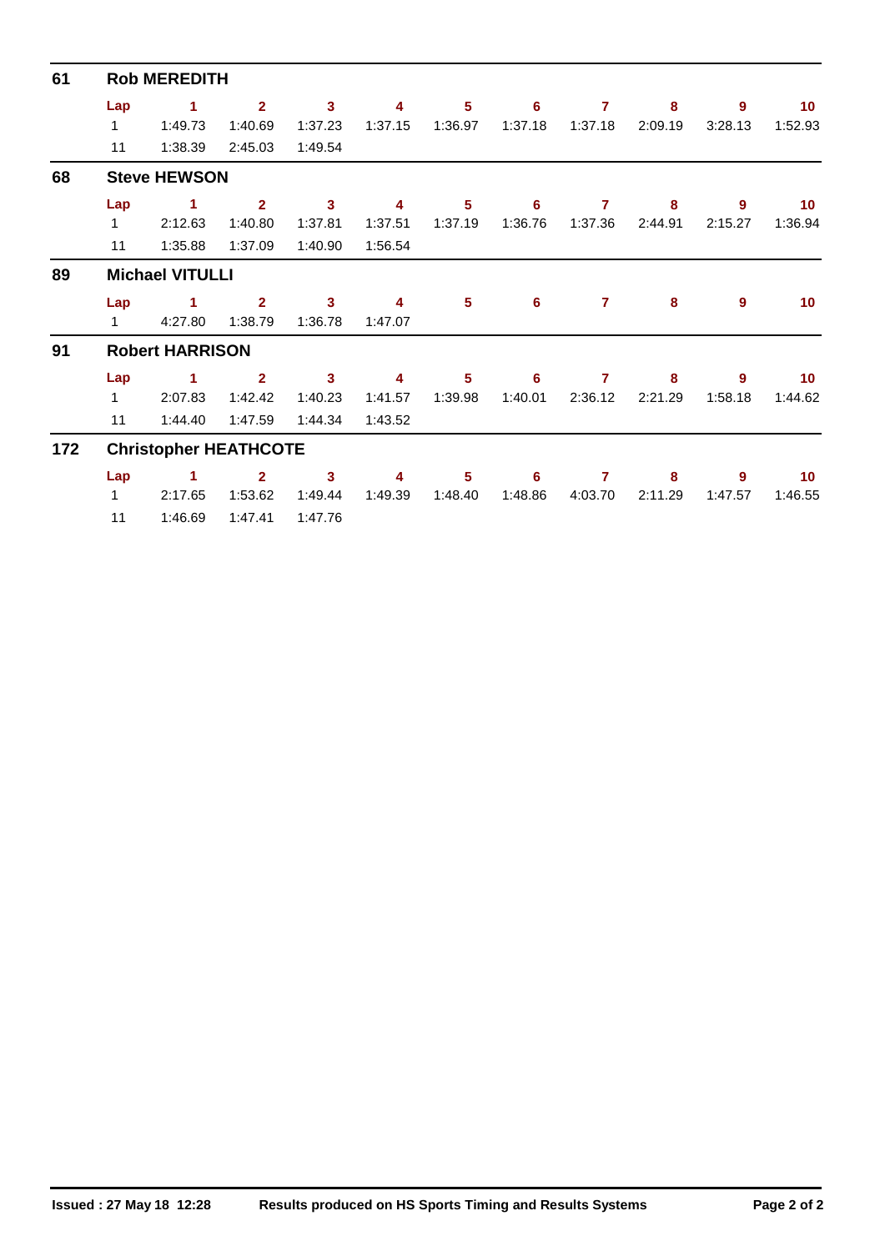| 61  | <b>Rob MEREDITH</b> |                              |                |                         |         |         |         |         |         |         |                 |  |  |  |  |
|-----|---------------------|------------------------------|----------------|-------------------------|---------|---------|---------|---------|---------|---------|-----------------|--|--|--|--|
|     | Lap                 | 1                            | $\overline{2}$ | $\mathbf{3}$            | 4       | 5       | 6       | 7       | 8       | 9       | 10 <sup>°</sup> |  |  |  |  |
|     | $\mathbf{1}$        | 1:49.73                      | 1:40.69        | 1:37.23                 | 1:37.15 | 1:36.97 | 1:37.18 | 1:37.18 | 2:09.19 | 3:28.13 | 1:52.93         |  |  |  |  |
|     | 11                  | 1:38.39                      | 2:45.03        | 1:49.54                 |         |         |         |         |         |         |                 |  |  |  |  |
| 68  |                     | <b>Steve HEWSON</b>          |                |                         |         |         |         |         |         |         |                 |  |  |  |  |
|     | Lap                 | 1.                           | $\overline{2}$ | $\mathbf{3}$            | 4       | 5       | 6       | 7       | 8       | 9       | 10 <sup>°</sup> |  |  |  |  |
|     | $\mathbf{1}$        | 2:12.63                      | 1:40.80        | 1:37.81                 | 1:37.51 | 1:37.19 | 1:36.76 | 1:37.36 | 2:44.91 | 2:15.27 | 1:36.94         |  |  |  |  |
|     | 11                  | 1:35.88                      | 1:37.09        | 1:40.90                 | 1:56.54 |         |         |         |         |         |                 |  |  |  |  |
| 89  |                     | <b>Michael VITULLI</b>       |                |                         |         |         |         |         |         |         |                 |  |  |  |  |
|     | Lap                 | 1                            | $\overline{2}$ | $\mathbf{3}$            | 4       | 5       | 6       | 7       | 8       | 9       | 10              |  |  |  |  |
|     | $\mathbf 1$         | 4:27.80                      | 1:38.79        | 1:36.78                 | 1:47.07 |         |         |         |         |         |                 |  |  |  |  |
| 91  |                     | <b>Robert HARRISON</b>       |                |                         |         |         |         |         |         |         |                 |  |  |  |  |
|     | Lap                 | 1                            | $\overline{2}$ | $\overline{\mathbf{3}}$ | 4       | 5       | 6       | 7       | 8       | 9       | 10 <sup>°</sup> |  |  |  |  |
|     | $\mathbf{1}$        | 2:07.83                      | 1:42.42        | 1:40.23                 | 1:41.57 | 1:39.98 | 1:40.01 | 2:36.12 | 2:21.29 | 1:58.18 | 1:44.62         |  |  |  |  |
|     | 11                  | 1:44.40                      | 1:47.59        | 1:44.34                 | 1:43.52 |         |         |         |         |         |                 |  |  |  |  |
| 172 |                     | <b>Christopher HEATHCOTE</b> |                |                         |         |         |         |         |         |         |                 |  |  |  |  |
|     | Lap                 | 1                            | $\overline{2}$ | 3                       | 4       | 5       | 6       | 7       | 8       | 9       | 10 <sup>°</sup> |  |  |  |  |
|     | $\mathbf{1}$        | 2:17.65                      | 1:53.62        | 1:49.44                 | 1:49.39 | 1:48.40 | 1:48.86 | 4:03.70 | 2:11.29 | 1:47.57 | 1:46.55         |  |  |  |  |
|     | 11                  | 1:46.69                      | 1:47.41        | 1:47.76                 |         |         |         |         |         |         |                 |  |  |  |  |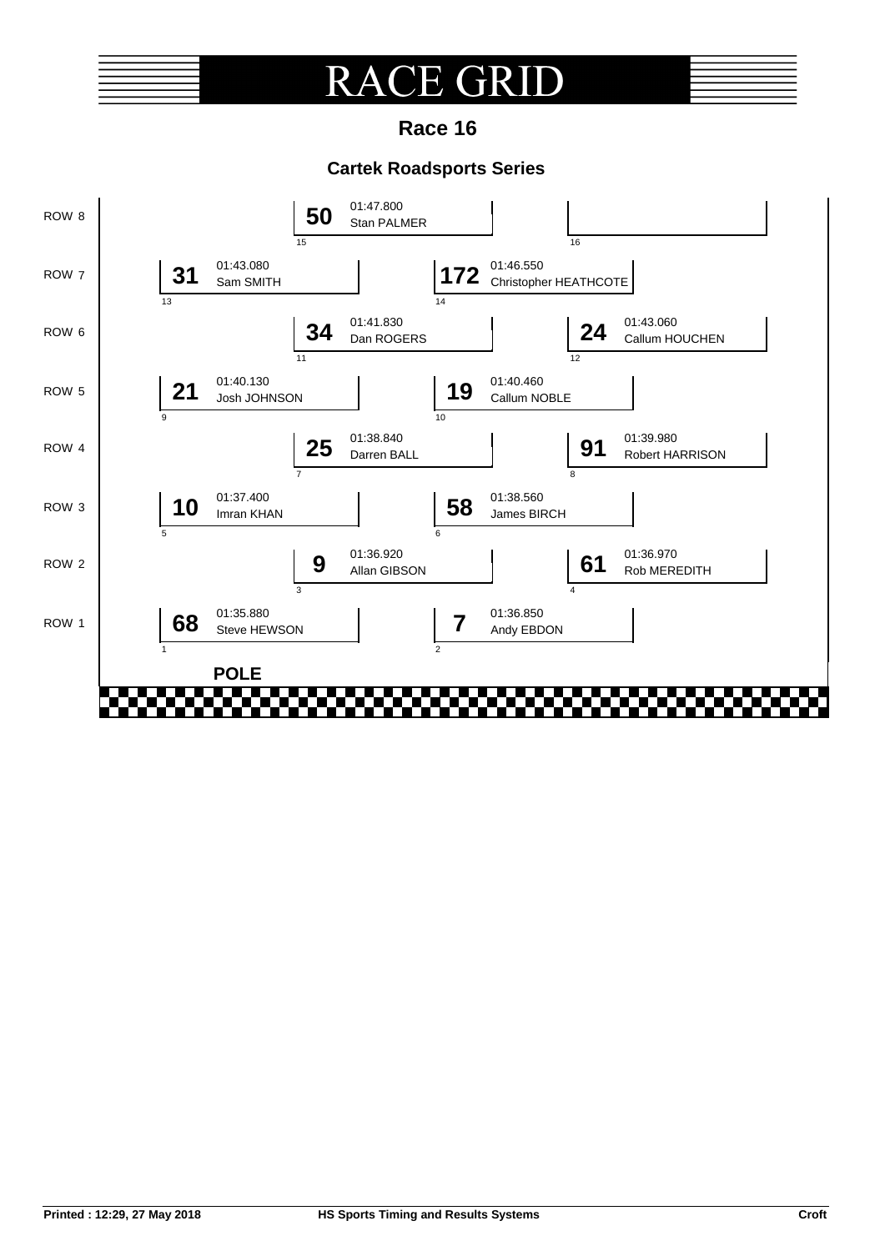### CE GRI  ${\rm RA}$  $\blacksquare$  $\left($

**Race 16**

### **Cartek Roadsports Series**

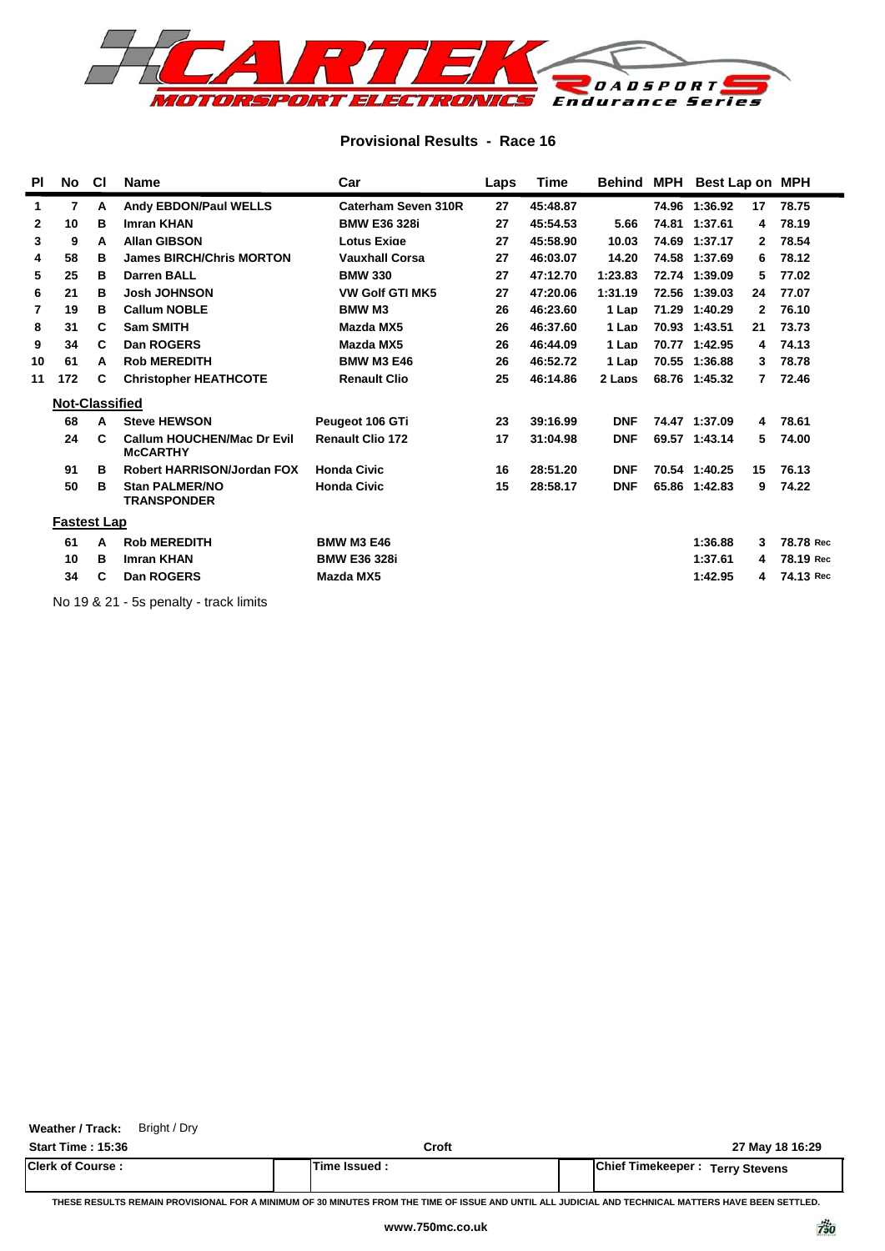

### **Provisional Results - Race 16**

| <b>PI</b> | No                    | СI | <b>Name</b>                                          | Car                     | Laps | Time     | <b>Behind MPH</b> | Best Lap on MPH |                |           |
|-----------|-----------------------|----|------------------------------------------------------|-------------------------|------|----------|-------------------|-----------------|----------------|-----------|
| 1         | 7                     | A  | <b>Andy EBDON/Paul WELLS</b>                         | Caterham Seven 310R     | 27   | 45:48.87 |                   | 74.96 1:36.92   | 17             | 78.75     |
| 2         | 10                    | в  | <b>Imran KHAN</b>                                    | <b>BMW E36 328i</b>     | 27   | 45:54.53 | 5.66              | 74.81 1:37.61   | 4              | 78.19     |
| 3         | 9                     | А  | <b>Allan GIBSON</b>                                  | <b>Lotus Exige</b>      | 27   | 45:58.90 | 10.03             | 74.69 1:37.17   | 2              | 78.54     |
| 4         | 58                    | в  | <b>James BIRCH/Chris MORTON</b>                      | <b>Vauxhall Corsa</b>   | 27   | 46:03.07 | 14.20             | 74.58 1:37.69   | 6              | 78.12     |
| 5         | 25                    | в  | <b>Darren BALL</b>                                   | <b>BMW 330</b>          | 27   | 47:12.70 | 1:23.83           | 72.74 1:39.09   | 5.             | 77.02     |
| 6         | 21                    | в  | <b>Josh JOHNSON</b>                                  | <b>VW Golf GTI MK5</b>  | 27   | 47:20.06 | 1:31.19           | 72.56 1:39.03   | 24             | 77.07     |
| 7         | 19                    | в  | <b>Callum NOBLE</b>                                  | <b>BMW M3</b>           | 26   | 46:23.60 | 1 Lap             | 71.29 1:40.29   | $\mathbf{2}$   | 76.10     |
| 8         | 31                    | C. | <b>Sam SMITH</b>                                     | Mazda MX5               | 26   | 46:37.60 | 1 Lap             | 70.93 1:43.51   | 21             | 73.73     |
| 9         | 34                    | C  | Dan ROGERS                                           | Mazda MX5               | 26   | 46:44.09 | 1 Lap             | 70.77 1:42.95   | 4              | 74.13     |
| 10        | 61                    | A  | <b>Rob MEREDITH</b>                                  | <b>BMW M3 E46</b>       | 26   | 46:52.72 | 1 Lap             | 70.55 1:36.88   | 3.             | 78.78     |
| 11        | 172                   | C  | <b>Christopher HEATHCOTE</b>                         | <b>Renault Clio</b>     | 25   | 46:14.86 | 2 Laps            | 68.76 1:45.32   | $\overline{7}$ | 72.46     |
|           | <b>Not-Classified</b> |    |                                                      |                         |      |          |                   |                 |                |           |
|           | 68                    | A  | <b>Steve HEWSON</b>                                  | Peugeot 106 GTi         | 23   | 39:16.99 | <b>DNF</b>        | 74.47 1:37.09   | 4              | 78.61     |
|           | 24                    | С  | <b>Callum HOUCHEN/Mac Dr Evil</b><br><b>McCARTHY</b> | <b>Renault Clio 172</b> | 17   | 31:04.98 | <b>DNF</b>        | 69.57 1:43.14   | 5.             | 74.00     |
|           | 91                    | в  | <b>Robert HARRISON/Jordan FOX</b>                    | <b>Honda Civic</b>      | 16   | 28:51.20 | <b>DNF</b>        | 70.54 1:40.25   | 15             | 76.13     |
|           | 50                    | в  | <b>Stan PALMER/NO</b><br><b>TRANSPONDER</b>          | <b>Honda Civic</b>      | 15   | 28:58.17 | <b>DNF</b>        | 65.86 1:42.83   | 9              | 74.22     |
|           | <b>Fastest Lap</b>    |    |                                                      |                         |      |          |                   |                 |                |           |
|           | 61                    | A  | <b>Rob MEREDITH</b>                                  | <b>BMW M3 E46</b>       |      |          |                   | 1:36.88         | 3              | 78.78 Rec |
|           | 10                    | в  | <b>Imran KHAN</b>                                    | <b>BMW E36 328i</b>     |      |          |                   | 1:37.61         | 4              | 78.19 Rec |
|           | 34                    | C  | Dan ROGERS                                           | <b>Mazda MX5</b>        |      |          |                   | 1:42.95         | 4              | 74.13 Rec |
|           |                       |    |                                                      |                         |      |          |                   |                 |                |           |

No 19 & 21 - 5s penalty - track limits

**Weather / Track:** Bright / Dry

| <b>Start Time: 15:36</b> | Croft              | 27 May 18 16:29                        |
|--------------------------|--------------------|----------------------------------------|
| <b>Clerk of Course:</b>  | <b>Time Issued</b> | <b>Chief Timekeeper: Terry Stevens</b> |

**THESE RESULTS REMAIN PROVISIONAL FOR A MINIMUM OF 30 MINUTES FROM THE TIME OF ISSUE AND UNTIL ALL JUDICIAL AND TECHNICAL MATTERS HAVE BEEN SETTLED.**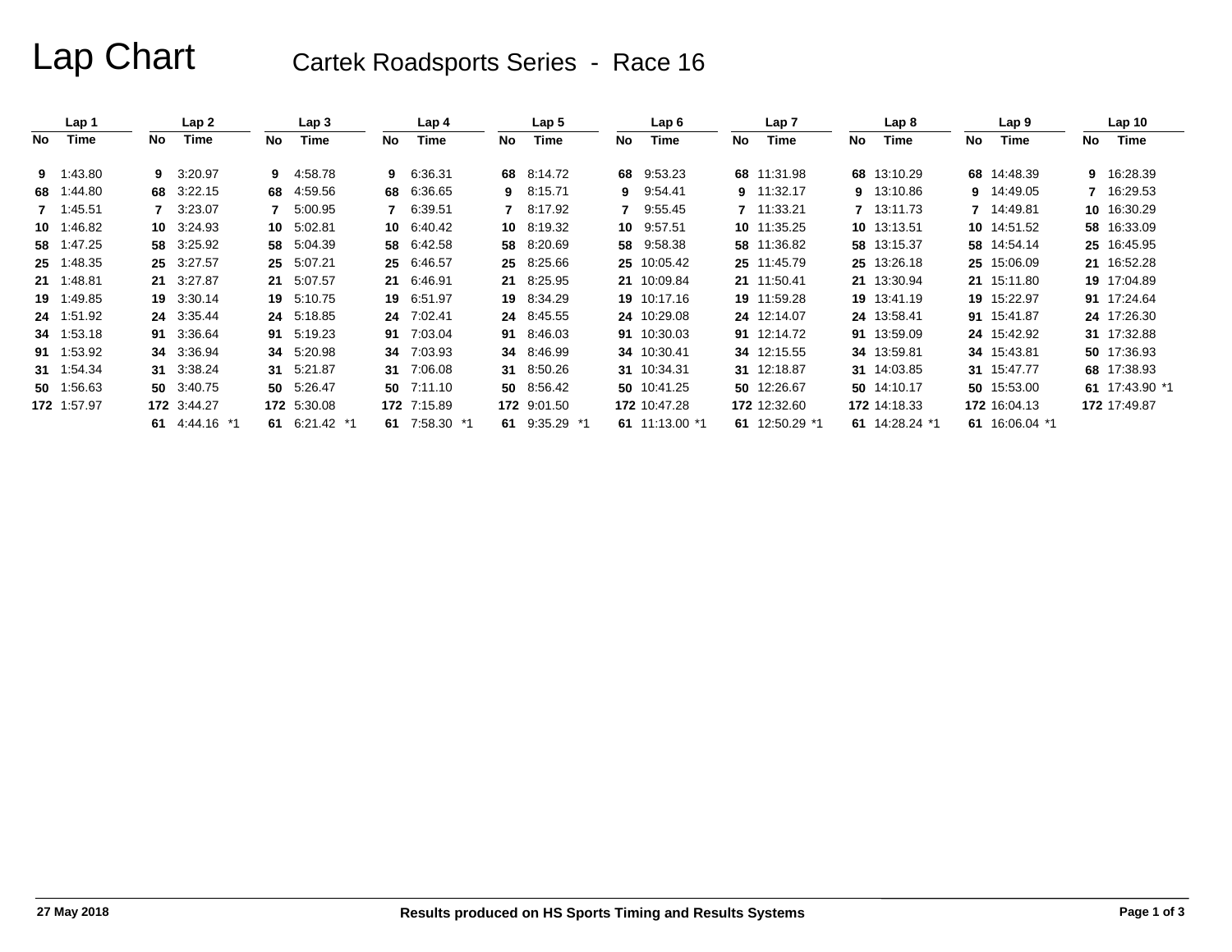# Lap Chart Cartek Roadsports Series - Race 16

|     | Lap 1       |    | Lap 2         |     | Lap 3         |     | Lap 4       |     | Lap 5         |     | Lap 6          |     | Lap 7          |     | Lap 8          |    | Lap 9          |     | Lap <sub>10</sub> |
|-----|-------------|----|---------------|-----|---------------|-----|-------------|-----|---------------|-----|----------------|-----|----------------|-----|----------------|----|----------------|-----|-------------------|
| No. | Time        | No | Time          | No. | Time          | No. | Time        | No. | Time          | No. | Time           | No. | Time           | No. | Time           | No | Time           | No. | Time              |
|     | 9 1:43.80   | 9  | 3:20.97       | 9.  | 4:58.78       | 9   | 6:36.31     |     | 68 8.14.72    | 68  | 9:53.23        |     | 68 11:31.98    |     | 68 13:10.29    |    | 68 14:48.39    |     | 9 16:28.39        |
| 68  | 1:44.80     | 68 | 3:22.15       | 68  | 4:59.56       | 68  | 6:36.65     | 9   | 8:15.71       |     | 9 9:54.41      |     | 9 11:32.17     |     | 9 13:10.86     | 9  | 14:49.05       |     | 7 16:29.53        |
|     | 7 1:45.51   |    | 3:23.07       |     | 5:00.95       | 7   | 6:39.51     | 7   | 8:17.92       |     | 7 9:55.45      |     | 7 11:33.21     |     | 7 13:11.73     |    | 7 14:49.81     |     | 10 16:30.29       |
|     | 10 1:46.82  | 10 | 3:24.93       |     | 10 5:02.81    | 10  | 6:40.42     |     | 10 8:19.32    |     | 10 9:57.51     |     | 10 11:35.25    |     | 10 13:13.51    |    | 10 14:51.52    |     | 58 16:33.09       |
|     | 58 1:47.25  | 58 | 3:25.92       | 58  | 5:04.39       | 58  | 6:42.58     | 58  | 8:20.69       | 58  | 9:58.38        |     | 58 11:36.82    |     | 58 13:15.37    |    | 58 14:54.14    |     | 25 16:45.95       |
|     | 25 1:48.35  |    | 25 3:27.57    | 25  | 5:07.21       | 25  | 6:46.57     |     | 25 8:25.66    |     | 25 10:05.42    |     | 25 11:45.79    |     | 25 13:26.18    |    | 25 15:06.09    |     | 21 16:52.28       |
|     | 21 1:48.81  | 21 | 3:27.87       |     | 21 5:07.57    | 21  | 6:46.91     |     | 21 8:25.95    |     | 21 10:09.84    |     | 21 11:50.41    |     | 21 13:30.94    |    | 21 15:11.80    |     | 19 17:04.89       |
|     | 19 1:49.85  |    | 19 3:30.14    |     | 19 5:10.75    | 19  | 6:51.97     |     | 19 8:34.29    |     | 19 10:17.16    |     | 19 11:59.28    |     | 19 13:41.19    |    | 19 15:22.97    |     | 91 17:24.64       |
|     | 24 1:51.92  |    | 24 3:35.44    |     | 24 5:18.85    | 24  | 7:02.41     |     | 24 8:45.55    |     | 24 10:29.08    |     | 24 12:14.07    |     | 24 13:58.41    |    | 91 15:41.87    |     | 24 17:26.30       |
|     | 34 1:53.18  | 91 | 3:36.64       | 91  | 5:19.23       | 91  | 7:03.04     | 91  | 8:46.03       |     | 91 10:30.03    |     | 91 12:14.72    |     | 91 13:59.09    |    | 24 15:42.92    |     | 31 17:32.88       |
|     | 91 1:53.92  |    | 34 3:36.94    | 34  | 5:20.98       | 34  | 7:03.93     | 34  | 8.46.99       |     | 34 10:30.41    |     | 34 12:15.55    |     | 34 13:59.81    |    | 34 15:43.81    |     | 50 17:36.93       |
|     | 31 1:54.34  | 31 | 3:38.24       |     | 31 5:21.87    | 31  | 7:06.08     |     | 31 8:50.26    |     | 31 10:34.31    |     | 31 12:18.87    |     | 31 14:03.85    |    | 31 15:47.77    |     | 68 17:38.93       |
|     | 50 1:56.63  |    | 50 3:40.75    |     | 50 5:26.47    | 50  | 7:11.10     |     | 50 8.56.42    |     | 50 10:41.25    |     | 50 12:26.67    |     | 50 14:10.17    |    | 50 15:53.00    |     | 61 17:43.90 *1    |
|     | 172 1:57.97 |    | 172 3:44.27   |     | 172 5:30.08   |     | 172 7:15.89 |     | 172 9:01.50   |     | 172 10:47.28   |     | 172 12:32.60   |     | 172 14:18.33   |    | 172 16:04.13   |     | 172 17:49.87      |
|     |             | 61 | 4:44.16<br>*1 |     | 61 6:21.42 *1 | 61  | 7:58.30 *1  | 61  | 9:35.29<br>*1 |     | 61 11:13.00 *1 |     | 61 12:50.29 *1 |     | 61 14:28.24 *1 |    | 61 16:06.04 *1 |     |                   |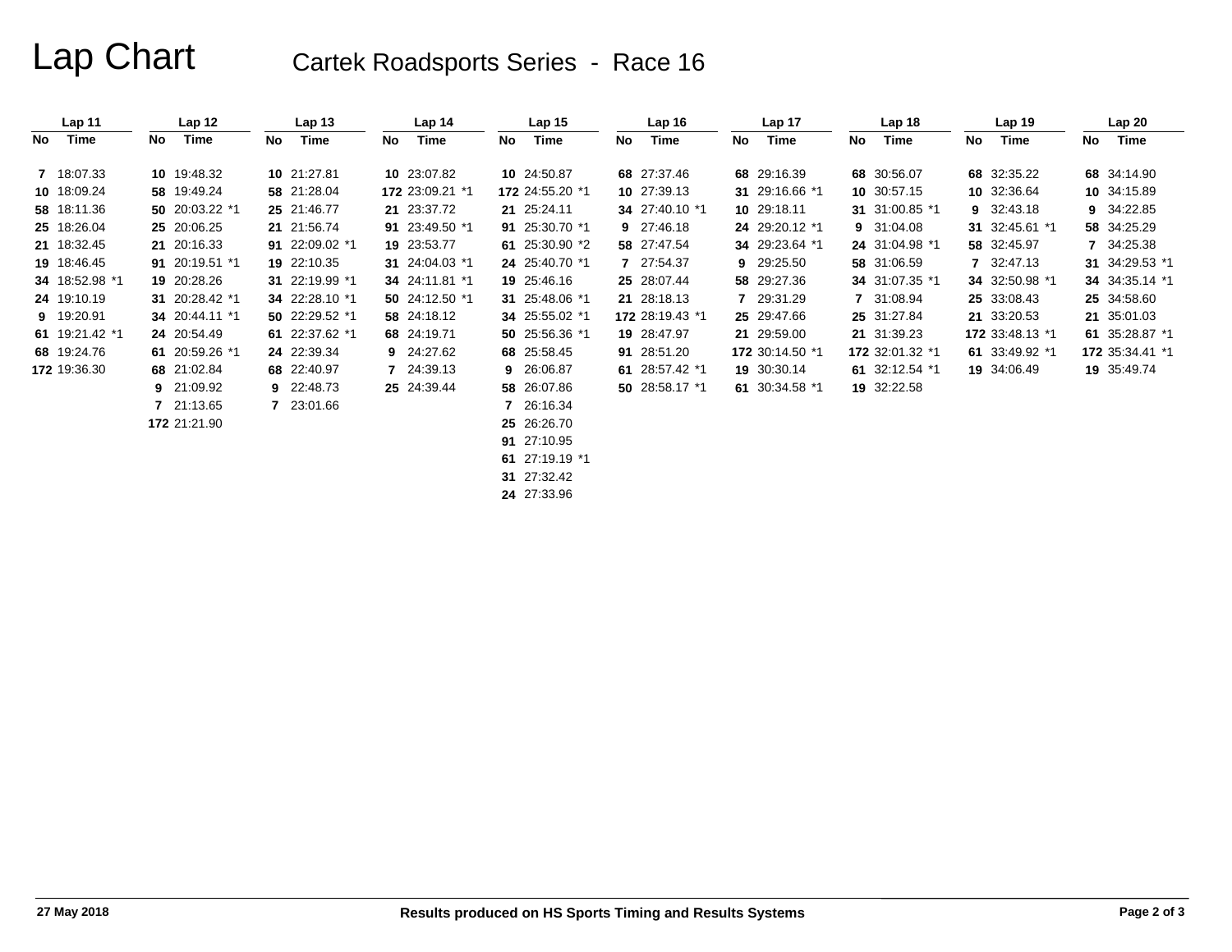# Lap Chart Cartek Roadsports Series - Race 16

|    | Lap 11         |    | Lap <sub>12</sub> |     | Lap <sub>13</sub> |    | Lap <sub>14</sub> |     | Lap <sub>15</sub> |     | Lap 16          |    | Lap 17          |    | Lap <sub>18</sub> |    | Lap <sub>19</sub> |     | Lap20           |
|----|----------------|----|-------------------|-----|-------------------|----|-------------------|-----|-------------------|-----|-----------------|----|-----------------|----|-------------------|----|-------------------|-----|-----------------|
| No | Time           | No | Time              | No. | Time              | No | Time              | No. | Time              | No. | Time            | No | Time            | No | Time              | No | Time              | No. | Time            |
|    | 7 18:07.33     |    | 10 19:48.32       |     | 10 21:27.81       |    | 10 23:07.82       |     | 10 24:50.87       |     | 68 27:37.46     |    | 68 29:16.39     |    | 68 30:56.07       |    | 68 32:35.22       |     | 68 34:14.90     |
|    | 10 18:09.24    |    | 58 19:49.24       |     | 58 21:28.04       |    | 172 23:09.21 *1   |     | 172 24:55.20 *1   |     | 10 27:39.13     |    | 31 29:16.66 *1  |    | 10 30:57.15       |    | 10 32:36.64       |     | 10 34:15.89     |
|    | 58 18:11.36    |    | 50 20:03.22 *1    |     | 25 21:46.77       |    | 21 23:37.72       |     | 21 25:24.11       |     | 34 27:40.10 *1  |    | 10 29:18.11     |    | 31 31:00.85 *1    | 9  | 32:43.18          |     | 9 34:22.85      |
|    | 25 18:26.04    |    | 25 20:06.25       |     | 21 21:56.74       |    | 91 23:49.50 *1    |     | 91 25:30.70 *1    |     | 9 27:46.18      |    | 24 29:20.12 *1  |    | 9 31:04.08        |    | 31 32:45.61 *1    |     | 58 34:25.29     |
|    | 21 18:32.45    |    | 21 20:16.33       |     | 91 22:09.02 *1    |    | 19 23:53.77       |     | 61 25:30.90 *2    |     | 58 27:47.54     |    | 34 29:23.64 *1  |    | 24 31:04.98 *1    |    | 58 32:45.97       |     | 7 34:25.38      |
|    | 19 18:46.45    |    | 91 20:19.51 *1    |     | 19 22:10.35       |    | 31 24:04.03 *1    |     | 24 25:40.70 *1    |     | 7 27:54.37      |    | 9 29:25.50      |    | 58 31:06.59       |    | 7 32:47.13        |     | 31 34:29.53 *1  |
|    | 34 18:52.98 *1 |    | 19 20:28.26       |     | 31 22:19.99 *1    |    | 34 24:11.81 *1    |     | 19 25:46.16       |     | 25 28:07.44     |    | 58 29:27.36     |    | 34 31:07.35 *1    |    | 34 32:50.98 *1    |     | 34 34:35.14 *1  |
|    | 24 19:10.19    |    | 31 20:28.42 *1    |     | 34 22:28.10 *1    |    | 50 24:12.50 $*1$  |     | 31 25:48.06 *1    |     | 21 28:18.13     |    | 7 29:31.29      |    | 7 31:08.94        |    | 25 33:08.43       |     | 25 34:58.60     |
|    | 9 19:20.91     |    | 34 20:44.11 *1    |     | 50 22:29.52 *1    |    | 58 24:18.12       |     | 34 25:55.02 *1    |     | 172 28:19.43 *1 |    | 25 29:47.66     |    | 25 31:27.84       |    | 21 33:20.53       |     | 21 35:01.03     |
|    | 61 19:21.42 *1 |    | 24 20:54.49       |     | 61 22:37.62 *1    |    | 68 24:19.71       |     | 50 25:56.36 *1    |     | 19 28:47.97     |    | 21 29:59.00     |    | 21 31:39.23       |    | 172 33:48.13 *1   |     | 61 35:28.87 *1  |
|    | 68 19:24.76    |    | 61 20:59.26 *1    |     | 24 22:39.34       |    | 9 24:27.62        |     | 68 25:58.45       |     | 91 28:51.20     |    | 172 30:14.50 *1 |    | 172 32:01.32 *1   |    | 61 33:49.92 *1    |     | 172 35:34.41 *1 |
|    | 172 19:36.30   |    | 68 21:02.84       |     | 68 22:40.97       |    | 7 24:39.13        |     | 9 26:06.87        |     | 61 28:57.42 *1  |    | 19 30:30.14     |    | 61 32:12.54 *1    |    | 19 34:06.49       |     | 19 35:49.74     |
|    |                |    | 9 21:09.92        |     | 9 22:48.73        |    | 25 24:39.44       |     | 58 26:07.86       |     | 50 28:58.17 *1  |    | 61 30:34.58 *1  |    | 19 32:22.58       |    |                   |     |                 |
|    |                |    | 7 21:13.65        |     | 7 23:01.66        |    |                   |     | 7 26:16.34        |     |                 |    |                 |    |                   |    |                   |     |                 |
|    |                |    | 172 21:21.90      |     |                   |    |                   |     | 25 26:26.70       |     |                 |    |                 |    |                   |    |                   |     |                 |

**91** 27:10.95

**61** 27:19.19 \*1

**31** 27:32.42

**24** 27:33.96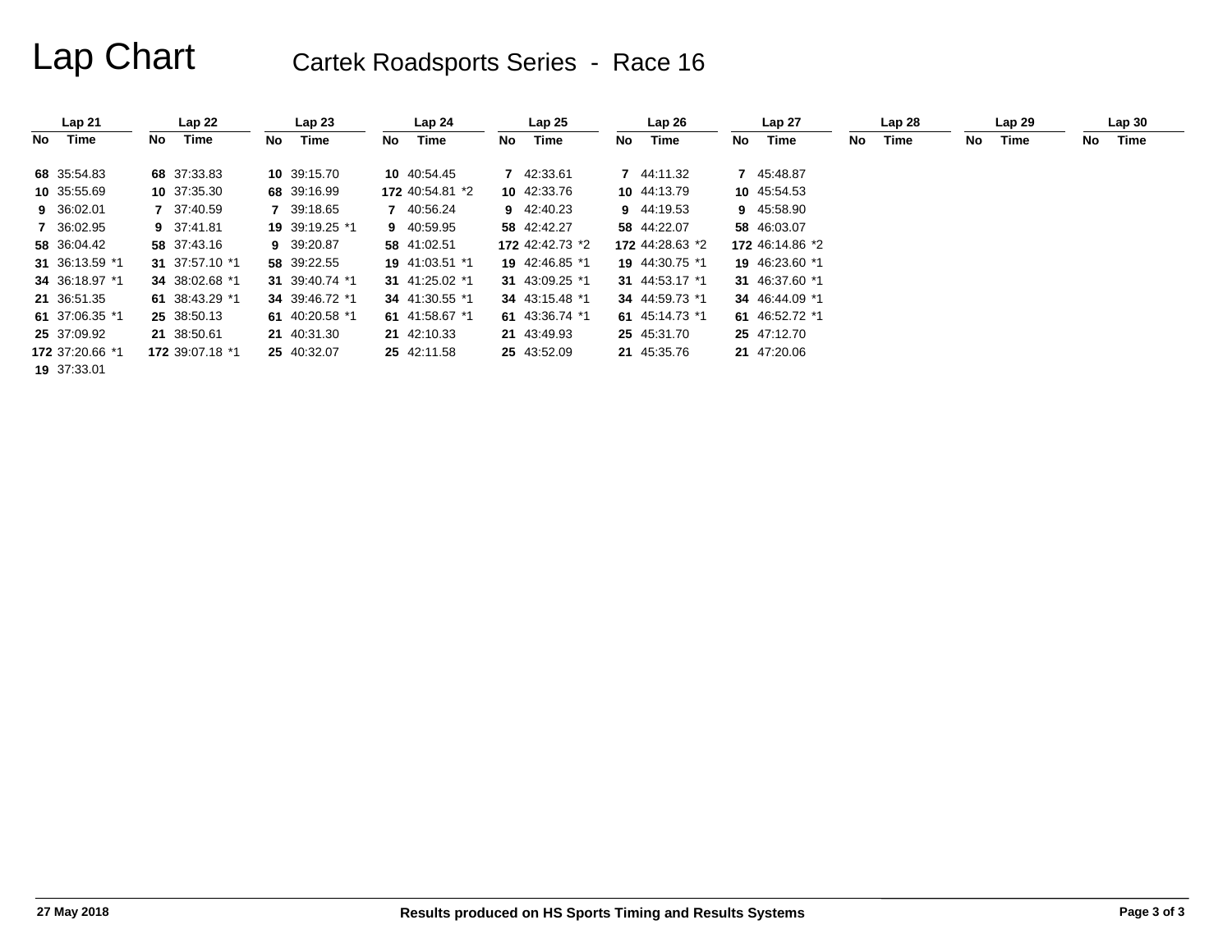# Lap Chart Cartek Roadsports Series - Race 16

|    | Lap21           |    | Lap22           |     | Lap23          |     | Lap <sub>24</sub> |    | Lap25           |    | Lap26           |    | Lap 27          |    | Lap28 |     | Lap29 |     | Lap30 |
|----|-----------------|----|-----------------|-----|----------------|-----|-------------------|----|-----------------|----|-----------------|----|-----------------|----|-------|-----|-------|-----|-------|
| No | Time            | No | Time            | No. | Time           | No. | Time              | No | Time            | No | Time            | No | Time            | No | Time  | No. | Time  | No. | Time  |
|    | 68 35:54.83     |    | 68 37:33.83     |     | 10 39:15.70    |     | 10 40:54.45       |    | 7 42:33.61      |    | 7 44:11.32      |    | 7 45:48.87      |    |       |     |       |     |       |
|    | 10 35:55.69     |    | 10 37:35.30     |     | 68 39:16.99    |     | 172 40:54.81 *2   |    | 10 42:33.76     |    | 10 44:13.79     |    | 10 45:54.53     |    |       |     |       |     |       |
|    | 9 36:02.01      |    | 7 37:40.59      |     | 7 39:18.65     |     | 7 40:56.24        |    | 9 42:40.23      |    | 9 44:19.53      |    | 9 45:58.90      |    |       |     |       |     |       |
|    | 7 36:02.95      |    | 9 37:41.81      |     | 19 39:19.25 *1 |     | 9 40:59.95        |    | 58 42:42.27     |    | 58 44:22.07     |    | 58 46:03.07     |    |       |     |       |     |       |
|    | 58 36:04.42     |    | 58 37:43.16     |     | 9 39:20.87     |     | 58 41:02.51       |    | 172 42:42.73 *2 |    | 172 44:28.63 *2 |    | 172 46:14.86 *2 |    |       |     |       |     |       |
|    | 31 36:13.59 *1  |    | 31 37:57.10 *1  |     | 58 39:22.55    |     | 19 41:03.51 *1    |    | 19 42:46.85 *1  |    | 19 44:30.75 *1  |    | 19 46:23.60 *1  |    |       |     |       |     |       |
|    | 34 36:18.97 *1  |    | 34 38:02.68 *1  |     | 31 39:40.74 *1 |     | 31 41:25.02 *1    |    | 31 43:09.25 *1  |    | 31 44:53.17 *1  |    | 31 46:37.60 *1  |    |       |     |       |     |       |
|    | 21 36:51.35     |    | 61 38:43.29 *1  |     | 34 39:46.72 *1 |     | 34 41:30.55 *1    |    | 34 43:15.48 *1  |    | 34 44:59.73 *1  |    | 34 46:44.09 *1  |    |       |     |       |     |       |
|    | 61 37:06.35 *1  |    | 25 38:50.13     |     | 61 40:20.58 *1 |     | 61 41:58.67 *1    |    | 61 43:36.74 *1  |    | 61 45:14.73 *1  |    | 61 46:52.72 *1  |    |       |     |       |     |       |
|    | 25 37:09.92     |    | 21 38:50.61     |     | 21 40:31.30    |     | 21 42:10.33       |    | 21 43:49.93     |    | 25 45:31.70     |    | 25 47:12.70     |    |       |     |       |     |       |
|    | 172 37:20.66 *1 |    | 172 39:07.18 *1 |     | 25 40:32.07    |     | 25 42:11.58       |    | 25 43:52.09     |    | 21 45:35.76     |    | 21 47:20.06     |    |       |     |       |     |       |
|    | 19 37:33.01     |    |                 |     |                |     |                   |    |                 |    |                 |    |                 |    |       |     |       |     |       |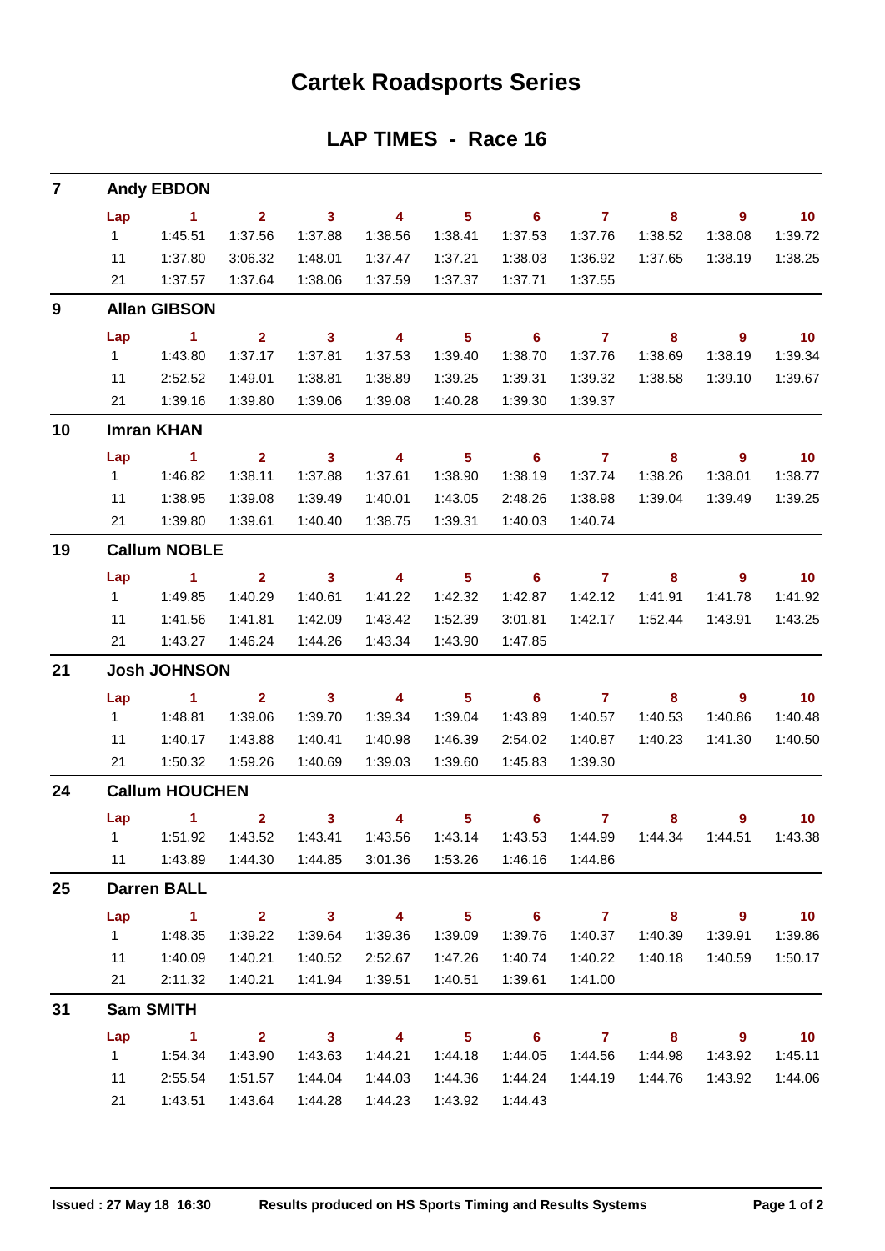### **Cartek Roadsports Series**

### **LAP TIMES - Race 16**

| $\overline{7}$ |                        | <b>Andy EBDON</b>        |                         |                         |                          |                            |                                             |                  |                            |                            |                             |
|----------------|------------------------|--------------------------|-------------------------|-------------------------|--------------------------|----------------------------|---------------------------------------------|------------------|----------------------------|----------------------------|-----------------------------|
|                | Lap                    | $\sim$ 1                 | 2 <sup>7</sup>          | $\overline{\mathbf{3}}$ | $\overline{4}$           | $\overline{\phantom{0}}$ 5 | $\overline{\phantom{0}}$ 6                  | $\overline{7}$   | 8                          | $\overline{\phantom{a}}$   | $\overline{10}$             |
|                | 1                      | 1:45.51                  | 1:37.56                 | 1:37.88                 | 1:38.56                  | 1:38.41                    | 1:37.53                                     | 1:37.76          | 1:38.52                    | 1:38.08                    | 1:39.72                     |
|                | 11                     | 1:37.80                  | 3:06.32                 | 1:48.01                 | 1:37.47                  | 1:37.21                    | 1:38.03                                     | 1:36.92          | 1:37.65                    | 1:38.19                    | 1:38.25                     |
|                | 21                     | 1:37.57                  | 1:37.64                 | 1:38.06                 | 1:37.59                  | 1:37.37                    | 1:37.71                                     | 1:37.55          |                            |                            |                             |
| 9              |                        | <b>Allan GIBSON</b>      |                         |                         |                          |                            |                                             |                  |                            |                            |                             |
|                | Lap                    | $\sim$ $-1$              | $\overline{\mathbf{2}}$ | $\overline{\mathbf{3}}$ | $\overline{\mathbf{4}}$  | $\overline{\phantom{0}}$ 5 | $\overline{\phantom{0}}$ 6                  | $\overline{7}$   | $\overline{\phantom{a}}$ 8 | $\overline{\phantom{a}}$   | $\overline{10}$             |
|                | $1 \quad \blacksquare$ | 1:43.80                  | 1:37.17                 | 1:37.81                 | 1:37.53                  | 1:39.40                    | 1:38.70                                     | 1:37.76          | 1:38.69                    | 1:38.19                    | 1:39.34                     |
|                | 11                     | 2:52.52                  | 1:49.01                 | 1:38.81                 | 1:38.89                  | 1:39.25                    | 1:39.31                                     | 1:39.32          | 1:38.58                    | 1:39.10                    | 1:39.67                     |
|                | 21                     | 1:39.16                  | 1:39.80                 | 1:39.06                 | 1:39.08                  | 1:40.28                    | 1:39.30                                     | 1:39.37          |                            |                            |                             |
| 10             |                        | <b>Imran KHAN</b>        |                         |                         |                          |                            |                                             |                  |                            |                            |                             |
|                | Lap                    | $\sim$ 1                 | $2^{\circ}$             | $\overline{\mathbf{3}}$ | $\overline{\phantom{a}}$ | $\overline{\phantom{0}}$ 5 | $\overline{\phantom{0}}$ 6                  | $\overline{7}$   | 8                          | 9                          | $\overline{\mathbf{10}}$    |
|                | $1 \quad$              | 1:46.82                  | 1:38.11                 | 1:37.88                 | 1:37.61                  | 1:38.90                    | 1:38.19                                     | 1:37.74          | 1:38.26                    | 1:38.01                    | 1:38.77                     |
|                | 11                     | 1:38.95                  | 1:39.08                 | 1:39.49                 | 1:40.01                  | 1:43.05                    | 2:48.26                                     | 1:38.98          | 1:39.04                    | 1:39.49                    | 1:39.25                     |
|                | 21                     | 1:39.80                  | 1:39.61                 | 1:40.40                 | 1:38.75                  | 1:39.31                    | 1:40.03                                     | 1:40.74          |                            |                            |                             |
| 19             |                        | <b>Callum NOBLE</b>      |                         |                         |                          |                            |                                             |                  |                            |                            |                             |
|                | Lap                    | $\sim$ $\sim$ 1.         | $\mathbf{2}$            | $\overline{\mathbf{3}}$ | $\overline{\mathbf{4}}$  | 5 <sup>5</sup>             | $\overline{\phantom{0}}$ 6                  | $\overline{7}$   | 8                          | 9                          | $\overline{10}$             |
|                | $1 \quad$              | 1:49.85                  | 1:40.29                 | 1:40.61                 | 1:41.22                  | 1:42.32                    | 1:42.87                                     | 1:42.12          | 1:41.91                    | 1:41.78                    | 1:41.92                     |
|                | 11                     | 1:41.56                  | 1:41.81                 | 1:42.09                 | 1:43.42                  | 1:52.39                    | 3:01.81                                     | 1:42.17          | 1:52.44                    | 1:43.91                    | 1:43.25                     |
|                | 21                     | 1:43.27                  | 1:46.24                 | 1:44.26                 | 1:43.34                  | 1:43.90                    | 1:47.85                                     |                  |                            |                            |                             |
| 21             |                        | <b>Josh JOHNSON</b>      |                         |                         |                          |                            |                                             |                  |                            |                            |                             |
|                | Lap                    | $\sim$ 1                 | $\mathbf{2}$            | $\overline{\mathbf{3}}$ | $\overline{4}$           | $\overline{\phantom{0}}$ 5 | $\overline{\phantom{0}}$ 6                  | $\overline{7}$   | 8                          | $\overline{\phantom{a}}$ 9 | $\overline{\phantom{0}}$ 10 |
|                | $1 -$                  | 1:48.81                  | 1:39.06                 | 1:39.70                 | 1:39.34                  | 1:39.04                    | 1:43.89                                     | 1:40.57          | 1:40.53                    | 1:40.86                    | 1:40.48                     |
|                | 11                     | 1:40.17                  | 1:43.88                 | 1:40.41                 | 1:40.98                  | 1:46.39                    | 2:54.02                                     | 1:40.87          | 1:40.23                    | 1:41.30                    | 1:40.50                     |
|                |                        | 21   1:50.32             | 1:59.26                 | 1:40.69                 | 1:39.03                  | 1:39.60                    | 1:45.83                                     | 1:39.30          |                            |                            |                             |
| 24             |                        | <b>Callum HOUCHEN</b>    |                         |                         |                          |                            |                                             |                  |                            |                            |                             |
|                |                        | Lap 1 2 3 4 5 6 7 8 9 10 |                         |                         |                          |                            |                                             |                  |                            |                            |                             |
|                |                        |                          |                         | 1:43.41                 |                          |                            | 1:43.56  1:43.14  1:43.53  1:44.99  1:44.34 |                  |                            | 1:44.51                    | 1:43.38                     |
|                | 11                     | 1:43.89                  |                         |                         |                          | 3:01.36 1:53.26            |                                             | 1:46.16  1:44.86 |                            |                            |                             |
| 25             |                        | <b>Darren BALL</b>       |                         |                         |                          |                            |                                             |                  |                            |                            |                             |
|                | Lap                    | $\sim$ 1                 | $\overline{\mathbf{2}}$ | $\overline{\mathbf{3}}$ | $\overline{\mathbf{4}}$  | $\overline{\phantom{0}}$ 5 | $\overline{\phantom{0}}$ 6                  | $\overline{7}$   | $\overline{\mathbf{8}}$    | $\overline{\phantom{a}}$   | $\overline{10}$             |
|                | $1 \quad$              | 1:48.35                  | 1:39.22                 | 1:39.64                 | 1:39.36                  | 1:39.09                    | 1:39.76                                     | 1:40.37          | 1:40.39                    | 1:39.91                    | 1:39.86                     |
|                | 11                     | 1:40.09                  | 1:40.21                 | 1:40.52                 | 2:52.67                  | 1:47.26                    | 1:40.74                                     | 1:40.22          | 1:40.18                    | 1:40.59                    | 1:50.17                     |
|                | 21                     | 2:11.32                  | 1:40.21                 | 1:41.94                 | 1:39.51                  | 1:40.51                    | 1:39.61                                     | 1:41.00          |                            |                            |                             |
| 31             |                        | <b>Sam SMITH</b>         |                         |                         |                          |                            |                                             |                  |                            |                            |                             |
|                | Lap                    | $\sim$ 1                 | $\overline{\mathbf{2}}$ | $\overline{\mathbf{3}}$ | $\overline{\mathbf{4}}$  | $\overline{\phantom{0}}$ 5 | $\overline{\phantom{0}}$ 6                  | $7 \t 8$         |                            | $\overline{\phantom{a}}$   | $\overline{10}$             |
|                | $1 \quad$              | 1:54.34                  | 1:43.90                 | 1:43.63                 | 1:44.21                  | 1:44.18                    | 1:44.05                                     | 1:44.56          | 1:44.98                    | 1:43.92                    | 1:45.11                     |
|                | 11                     | 2:55.54                  | 1:51.57                 | 1:44.04                 | 1:44.03                  | 1:44.36                    | 1:44.24                                     | 1:44.19          | 1:44.76                    | 1:43.92                    | 1:44.06                     |
|                | 21                     | 1:43.51                  | 1:43.64                 | 1:44.28                 | 1:44.23                  | 1:43.92                    | 1:44.43                                     |                  |                            |                            |                             |